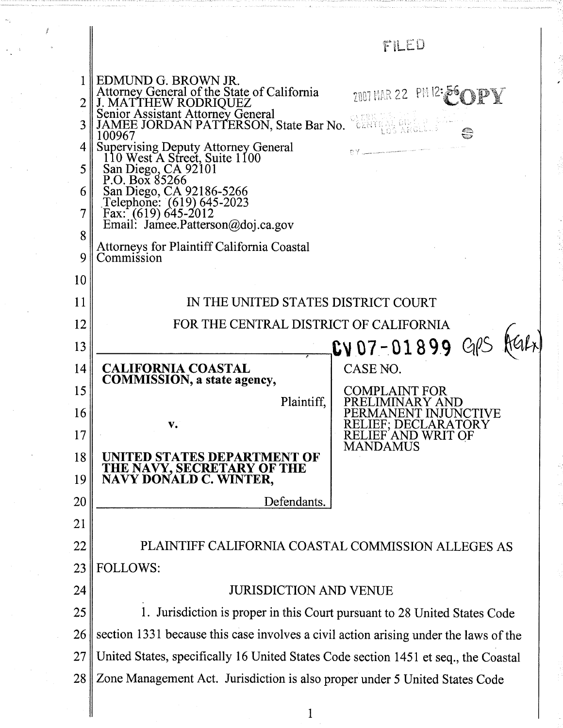|        |                                                                                                                                                                          | FILED                                                        |
|--------|--------------------------------------------------------------------------------------------------------------------------------------------------------------------------|--------------------------------------------------------------|
|        | EDMUND G. BROWN JR.<br>Attorney General of the State of California<br>J. MATTHEW RODRIQUEZ<br>Senior Assistant Attorney General<br>JAMEE JORDAN PATTERSON, State Bar No. | $2001$ MAR 22 PM 12: 56                                      |
|        | 100967                                                                                                                                                                   |                                                              |
| 4      |                                                                                                                                                                          |                                                              |
| 5      | Supervising Deputy Attorney General<br>110 West A Street, Suite 1100<br>San Diego, CA 92101<br>P.O. Box 85266                                                            |                                                              |
| 6      |                                                                                                                                                                          |                                                              |
| 7      | San Diego, CA 92186-5266<br>Telephone: (619) 645-2023<br>Fax: (619) 645-2012<br>Email: Jamee.Patterson@doj.ca.gov                                                        |                                                              |
| 8<br>9 | <b>Attorneys for Plaintiff California Coastal</b><br>Commission                                                                                                          |                                                              |
| 10     |                                                                                                                                                                          |                                                              |
| 11     | IN THE UNITED STATES DISTRICT COURT                                                                                                                                      |                                                              |
| 12     | FOR THE CENTRAL DISTRICT OF CALIFORNIA                                                                                                                                   |                                                              |
| 13     |                                                                                                                                                                          | $CV07 - 01899$ GPS                                           |
| 14     | <b>CALIFORNIA COASTAL</b>                                                                                                                                                | CASE NO.                                                     |
| 15     | <b>COMMISSION</b> , a state agency,                                                                                                                                      | <b>COMPLAINT FOR</b>                                         |
| 16     | Plaintiff,                                                                                                                                                               | IMINARY AND<br>1ANENT INJU<br><b>NCTIVE</b>                  |
| 17     | V.                                                                                                                                                                       | RELIEF: DECLARATORY<br>RELIEF AND WRIT OF<br><b>MANDAMUS</b> |
| 18     | ITED STATES DEPARTMENT OF                                                                                                                                                |                                                              |
| 19     | THE NAVY, SECRETARY OF THE<br>NAVY DONALD C. WINTER,                                                                                                                     |                                                              |
| 20     | Defendants.                                                                                                                                                              |                                                              |
| 21     |                                                                                                                                                                          |                                                              |
| 22     | PLAINTIFF CALIFORNIA COASTAL COMMISSION ALLEGES AS                                                                                                                       |                                                              |
| 23     | <b>FOLLOWS:</b>                                                                                                                                                          |                                                              |
| 24     | <b>JURISDICTION AND VENUE</b>                                                                                                                                            |                                                              |
| 25     | 1. Jurisdiction is proper in this Court pursuant to 28 United States Code                                                                                                |                                                              |
| 26     | section 1331 because this case involves a civil action arising under the laws of the                                                                                     |                                                              |
| 27     | United States, specifically 16 United States Code section 1451 et seq., the Coastal                                                                                      |                                                              |
| 28     | Zone Management Act. Jurisdiction is also proper under 5 United States Code                                                                                              |                                                              |
|        |                                                                                                                                                                          |                                                              |

 $\frac{1}{2}$ 

 $\frac{1}{2}$ 

 $\omega_{\tilde{\zeta}}$ 

 $\frac{1}{\sqrt{2}} \leq 4.$ 

 $\mathcal{A}$  $\frac{1}{2}$ 

ting.

 $\hat{f}$ 

 $\mathbf{1}$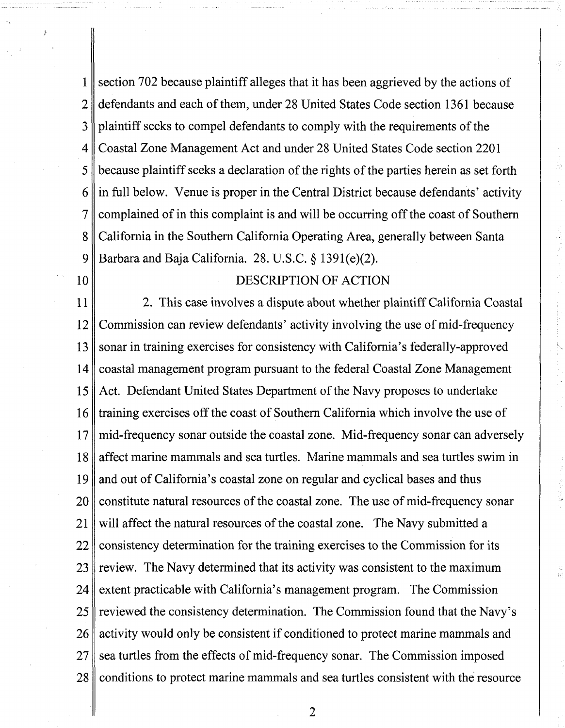section 702 because plaintiff alleges that it has been aggrieved by the actions of 1  $\overline{2}$ defendants and each of them, under 28 United States Code section 1361 because plaintiff seeks to compel defendants to comply with the requirements of the 3 Coastal Zone Management Act and under 28 United States Code section 220 1 4 5 because plaintiff seeks a declaration of the rights of the parties herein as set forth 6 in full below. Venue is proper in the Central District because defendants' activity complained of in this complaint is and will be occurring off the coast of Southern  $\overline{\tau}$ California in the Southern California Operating Area, generally between Santa 8 9 Barbara and Baja California. 28. U.S.C. § 1391(e)(2).

10

### DESCRIPTION OF ACTION

11 2. This case involves a dispute about whether plaintiff California Coastal Commission can review defendants' activity involving the use of mid-frequency 12 sonar in training exercises for consistency with California's federally-approved 13 coastal management program pursuant to the federal Coastal Zone Management 14 Act. Defendant United States Department of the Navy proposes to undertake 15 training exercises off the coast of Southern California which involve the use of 16 mid-frequency sonar outside the coastal zone. Mid-frequency sonar can adversely 17 affect marine mammals and sea turtles. Marine mammals and sea turtles swim in 18 and out of California's coastal zone on regular and cyclical bases and thus 19 20 constitute natural resources of the coastal zone. The use of mid-frequency sonar 21 will affect the natural resources of the coastal zone. The Navy submitted a consistency determination for the training exercises to the Commission for its 22 23 review. The Navy determined that its activity was consistent to the maximum extent practicable with California's management program. The Commission 24 reviewed the consistency determination. The Commission found that the Navy's 25 activity would only be consistent if conditioned to protect marine mammals and 26 27 sea turtles from the effects of mid-frequency sonar. The Commission imposed 28 conditions to protect marine mammals and sea turtles consistent with the resource

 $\overline{2}$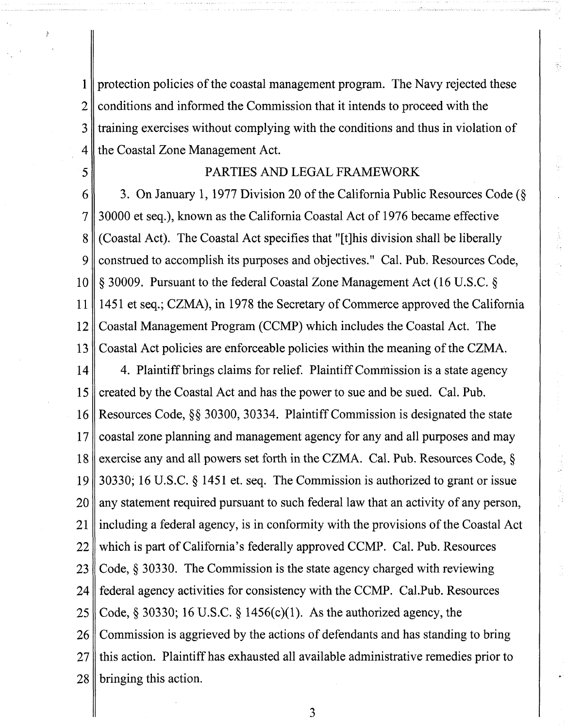$1<sup>1</sup>$ protection policies of the coastal management program. The Navy rejected these conditions and informed the Commission that it intends to proceed with the  $\overline{2}$ 3 training exercises without complying with the conditions and thus in violation of the Coastal Zone Management Act. 4

## PARTIES AND LEGAL FRAMEWORK

5

6 3. On January 1, 1977 Division 20 of the California Public Resources Code (5 30000 et seq.), known as the California Coastal Act of 1976 became effective  $\overline{7}$ (Coastal Act). The Coastal Act specifies that "[tlhis division shall be liberally 8 construed to accomplish its purposes and objectives." Cal. Pub. Resources Code, 9 5 30009. Pursuant to the federal Coastal Zone Management Act (16 U.S.C. 5 10 145 1 et seq.; CZMA), in 1978 the Secretary of Commerce approved the California 11 Coastal Management Program (CCMP) which includes the Coastal Act. The 12 Coastal Act policies are enforceable policies within the meaning of the CZMA. 13

14 4. Plaintiff brings claims for relief. Plaintiff Commission is a state agency created by the Coastal Act and has the power to sue and be sued. Cal. Pub. 15 Resources Code, \$8 30300, 30334. Plaintiff Commission is designated the state 16 coastal zone planning and management agency for any and all purposes and may  $17$ 18 exercise any and all powers set forth in the CZMA. Cal. Pub. Resources Code,  $\S$ 30330; 16 U.S.C. 5 1451 et. seq. The Commission is authorized to grant or issue 19 any statement required pursuant to such federal law that an activity of any person, 20 21 including a federal agency, is in conformity with the provisions of the Coastal Act which is part of California's federally approved CCMP. Cal. Pub. Resources 22 Code, § 30330. The Commission is the state agency charged with reviewing 23 federal agency activities for consistency with the CCMP. Cal.Pub. Resources 24 25 Code,  $\S$  30330; 16 U.S.C.  $\S$  1456(c)(1). As the authorized agency, the Commission is aggrieved by the actions of defendants and has standing to bring 26 this action. Plaintiff has exhausted all available administrative remedies prior to 27 bringing this action. 28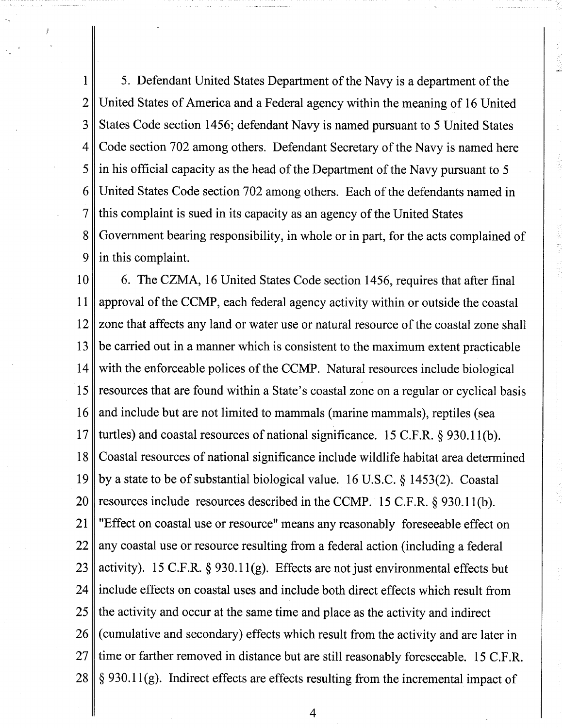5. Defendant United States Department of the Navy is a department of the 1  $\overline{2}$ United States of America and a Federal agency within the meaning of 16 United States Code section 1456; defendant Navy is named pursuant to 5 United States 3 Code section 702 among others. Defendant Secretary of the Navy is named here 4 5 in his official capacity as the head of the Department of the Navy pursuant to 5 United States Code section 702 among others. Each of the defendants named in 6 this complaint is sued in its capacity as an agency of the United States 7 8 Government bearing responsibility, in whole or in part, for the acts complained of in this complaint. 9

6. The CZMA, 16 United States Code section 1456, requires that after final 10 approval of the CCMP, each federal agency activity within or outside the coastal 11 zone that affects any land or water use or natural resource of the coastal zone shall 12 13 be carried out in a manner which is consistent to the maximum extent practicable with the enforceable polices of the CCMP. Natural resources include biological 14 15 resources that are found within a State's coastal zone on a regular or cyclical basis and include but are not limited to mammals (marine mammals), reptiles (sea 16 17 turtles) and coastal resources of national significance. 15 C.F.R. § 930.11(b). 18 Coastal resources of national significance include wildlife habitat area determined by a state to be of substantial biological value. 16 U.S.C. **8** 1453(2). Coastal 19 resources include resources described in the CCMP. 15 C.F.R. **5** 930.1 1 (b). 20 "Effect on coastal use or resource" means any reasonably foreseeable effect on 21 any coastal use or resource resulting from a federal action (including a federal 22 activity). 15 C.F.R. § 930.11(g). Effects are not just environmental effects but 23 include effects on coastal uses and include both direct effects which result from 24 25 the activity and occur at the same time and place as the activity and indirect 26 (cumulative and secondary) effects which result from the activity and are later in 27 time or farther removed in distance but are still reasonably foreseeable. 15 C.F.R. § 930.11(g). Indirect effects are effects resulting from the incremental impact of 28

 $\overline{4}$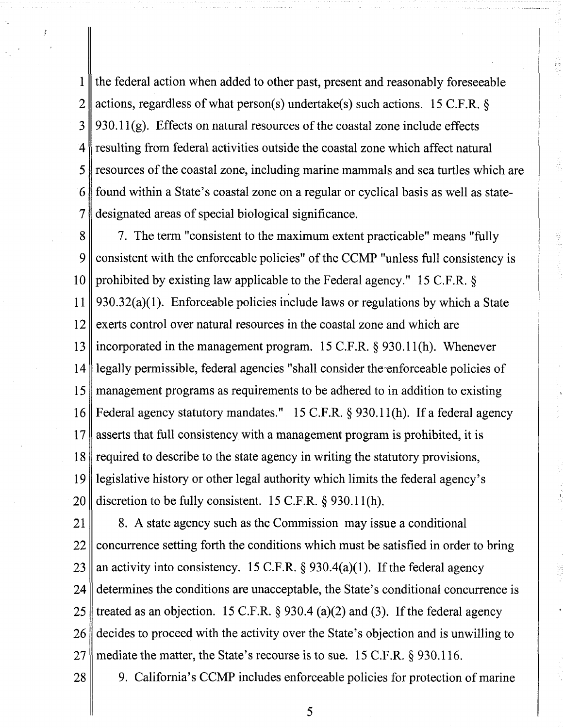the federal action when added to other past, present and reasonably foreseeable 1  $\overline{2}$ actions, regardless of what person(s) undertake(s) such actions. 15 C.F.R.  $\delta$ 930.11 $(g)$ . Effects on natural resources of the coastal zone include effects 3 resulting from federal activities outside the coastal zone which affect natural  $\mathbf 4$ 5 resources of the coastal zone, including marine mammals and sea turtles which are found within a State's coastal zone on a regular or cyclical basis as well as state-6  $\overline{7}$ designated areas of special biological significance.

7. The term "consistent to the maximum extent practicable" means "fully 8 consistent with the enforceable policies" of the CCMP "unless full consistency is 9 prohibited by existing law applicable to the Federal agency." 15 C.F.R. \$ 10 930.32(a)(1). Enforceable policies include laws or regulations by which a State 11 12 exerts control over natural resources in the coastal zone and which are incorporated in the management program.  $15$  C.F.R.  $\S$  930.11(h). Whenever 13 legally permissible, federal agencies "shall consider the-enforceable policies of 14 management programs as requirements to be adhered to in addition to existing 15 Federal agency statutory mandates." 15 C.F.R. § 930.11(h). If a federal agency 16 asserts that full consistency with a management program is prohibited, it is 17 required to describe to the state agency in writing the statutory provisions, 18 19 legislative history or other legal authority which limits the federal agency's discretion to be fully consistent. 15 C.F.R.  $\S$  930.11(h). **20** 

8. A state agency such as the Commission may issue a conditional 21 concurrence setting forth the conditions which must be satisfied in order to bring 22 an activity into consistency. 15 C.F.R.  $\S$  930.4(a)(1). If the federal agency 23 determines the conditions are unacceptable, the State's conditional concurrence is 24 treated as an objection. 15 C.F.R.  $\S$  930.4 (a)(2) and (3). If the federal agency 25 decides to proceed with the activity over the State's objection and is unwilling to 26 mediate the matter, the State's recourse is to sue. 15 C.F.R. § 930.116. 27

9. California's CCMP includes enforceable policies for protection of marine

28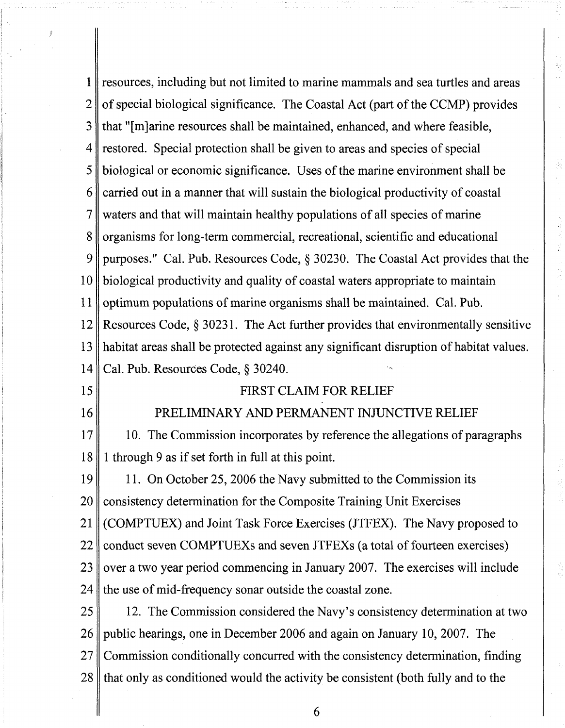| 1              | resources, including but not limited to marine mammals and sea turtles and areas       |  |
|----------------|----------------------------------------------------------------------------------------|--|
| $\overline{2}$ | of special biological significance. The Coastal Act (part of the CCMP) provides        |  |
| 3              | that "[m]arine resources shall be maintained, enhanced, and where feasible,            |  |
| 4              | restored. Special protection shall be given to areas and species of special            |  |
| 5              | biological or economic significance. Uses of the marine environment shall be           |  |
| 6              | carried out in a manner that will sustain the biological productivity of coastal       |  |
| 7              | waters and that will maintain healthy populations of all species of marine             |  |
| 8              | organisms for long-term commercial, recreational, scientific and educational           |  |
| 9              | purposes." Cal. Pub. Resources Code, § 30230. The Coastal Act provides that the        |  |
| 10             | biological productivity and quality of coastal waters appropriate to maintain          |  |
| 11             | optimum populations of marine organisms shall be maintained. Cal. Pub.                 |  |
| 12             | Resources Code, $\S 30231$ . The Act further provides that environmentally sensitive   |  |
| 13             | habitat areas shall be protected against any significant disruption of habitat values. |  |
| 14             | Cal. Pub. Resources Code, § 30240.                                                     |  |
| 15             | <b>FIRST CLAIM FOR RELIEF</b>                                                          |  |
| 16             | PRELIMINARY AND PERMANENT INJUNCTIVE RELIEF                                            |  |
| 17             | 10. The Commission incorporates by reference the allegations of paragraphs             |  |
| 18             | 1 through 9 as if set forth in full at this point.                                     |  |
| 19             | 11. On October 25, 2006 the Navy submitted to the Commission its                       |  |
| <b>20</b>      | consistency determination for the Composite Training Unit Exercises                    |  |
| 21             | (COMPTUEX) and Joint Task Force Exercises (JTFEX). The Navy proposed to                |  |
| 22             | conduct seven COMPTUEXs and seven JTFEXs (a total of fourteen exercises)               |  |
| 23             | over a two year period commencing in January 2007. The exercises will include          |  |
| 24             | the use of mid-frequency sonar outside the coastal zone.                               |  |
| 25             | 12. The Commission considered the Navy's consistency determination at two              |  |
| 26             | public hearings, one in December 2006 and again on January 10, 2007. The               |  |
| 27             | Commission conditionally concurred with the consistency determination, finding         |  |
| 28             | that only as conditioned would the activity be consistent (both fully and to the       |  |

 $\frac{1}{2}$ 

 $\frac{1}{\sqrt{2}}$ 

 $\bar{\gamma}$ 

 $\frac{d}{dt}$ 

**1999年** 

ÿ

 $\phi^1_{\rm L}$ 

 $\begin{array}{c} \leftarrow & \leftarrow & \leftarrow \\ \leftarrow & \leftarrow & \leftarrow \\ \leftarrow & \leftarrow & \leftarrow \\ \leftarrow & \leftarrow & \leftarrow \\ \leftarrow & \leftarrow & \leftarrow \\ \leftarrow & \leftarrow & \leftarrow \\ \leftarrow & \leftarrow & \leftarrow \\ \leftarrow & \leftarrow & \leftarrow \\ \leftarrow & \leftarrow & \leftarrow \\ \leftarrow & \leftarrow & \leftarrow \\ \leftarrow & \leftarrow & \leftarrow \\ \leftarrow & \leftarrow & \leftarrow \\ \leftarrow & \leftarrow & \leftarrow \\ \leftarrow & \leftarrow & \leftarrow \\ \leftarrow & \leftarrow & \leftarrow \\ \leftarrow & \leftarrow & \leftarrow \\ \leftarrow & \leftarrow & \leftarrow \\ \leftarrow & \leftarrow & \$ 

ulija<br>Herio

 $\cdots$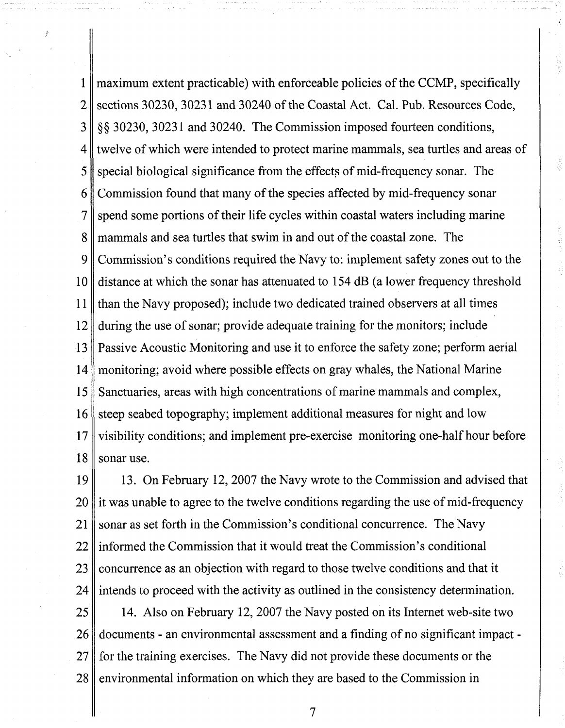naximum extent practicable) with enforceable policies of the CCMP, specifically  $\mathbf{1}$ sections 30230, 30231 and 30240 of the Coastal Act. Cal. Pub. Resources Code,  $\overline{2}$ **\$8** 30230,3023 1 and 30240. The Commission imposed fourteen conditions, 3 twelve of which were intended to protect marine mammals, sea turtles and areas of 4 5 special biological significance from the effects of mid-frequency sonar. The Commission found that many of the species affected by mid-frequency sonar 6 spend some portions of their life cycles within coastal waters including marine 7 mammals and sea turtles that swim in and out of the coastal zone. The 8 9 Commission's conditions required the Navy to: implement safety zones out to the 10 distance at which the sonar has attenuated to 154 dB (a lower frequency threshold 11 than the Navy proposed); include two dedicated trained observers at all times during the use of sonar; provide adequate training for the monitors; include 12 Passive Acoustic Monitoring and use it to enforce the safety zone; perform aerial  $13$ monitoring; avoid where possible effects on gray whales, the National Marine 14 Sanctuaries, areas with high concentrations of marine mammals and complex, 15 steep seabed topography; implement additional measures for night and low 16 17 visibility conditions; and implement pre-exercise monitoring one-half hour before 18 sonar use.

ž

19 13. On February 12,2007 the Navy wrote to the Commission and advised that it was unable to agree to the twelve conditions regarding the use of mid-frequency 20 sonar as set forth in the Commission's conditional concurrence. The Navy 21 informed the Commission that it would treat the Commission's conditional 22 concurrence as an objection with regard to those twelve conditions and that it 23 intends to proceed with the activity as outlined in the consistency determination. 24

25 14. Also on February 12, 2007 the Navy posted on its Internet web-site two 26 documents - an environmental assessment and a finding of no significant impact - 27 for the training exercises. The Navy did not provide these documents or the environmental information on which they are based to the Commission in 28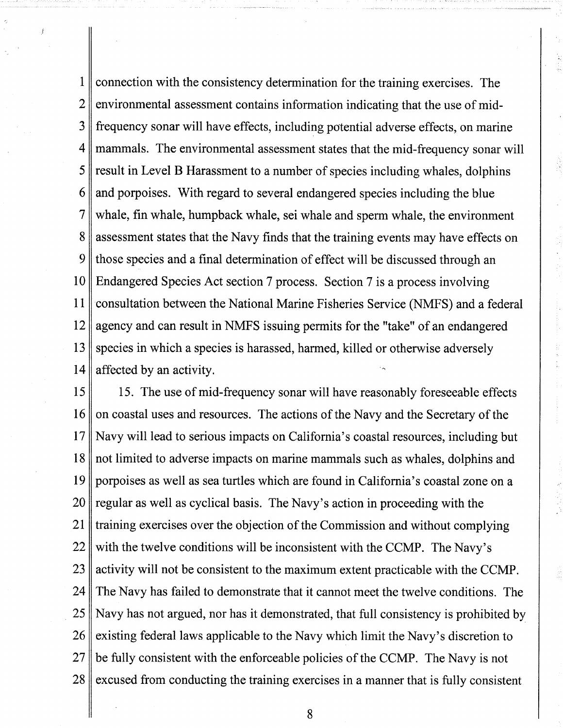1 connection with the consistency determination for the training exercises. The  $\overline{2}$ environmental assessment contains information indicating that the use of mid-3 frequency sonar will have effects, including potential adverse effects, on marine 4 mammals. The environmental assessment states that the mid-frequency sonar will result in Level B Harassment to a number of species including whales, dolphins 5 and porpoises. With regard to several endangered species including the blue 6 7 whale, fin whale, humpback whale, sei whale and sperm whale, the environment assessment states that the Navy finds that the training events may have effects on 8 9 those species and a final determination of effect will be discussed through an Endangered Species Act section 7 process. Section 7 is a process involving 10 11 consultation between the National Marine Fisheries Service (NMFS) and a federal 12 agency and can result in NMFS issuing permits for the "take" of an endangered 13 species in which a species is harassed, harmed, killed or otherwise adversely 14 affected by an activity. <sup>+</sup>

15 15. The use of mid-frequency sonar will have reasonably foreseeable effects on coastal uses and resources. The actions of the Navy and the Secretary of the 16 17 Navy will lead to serious impacts on California's coastal resources, including but 18 not limited to adverse impacts on marine mammals such as whales, dolphins and 19 porpoises as well as sea turtles which are found in California's coastal zone on a regular as well as cyclical basis. The Navy's action in proceeding with the 20 training exercises over the objection of the Commission and without complying 21 with the twelve conditions will be inconsistent with the CCMP. The Navy's 22 23 activity will not be consistent to the maximum extent practicable with the CCMP. 24 The Navy has failed to demonstrate that it cannot meet the twelve conditions. The Navy has not argued, nor has it demonstrated, that full consistency is prohibited by 25 existing federal laws applicable to the Navy which limit the Navy's discretion to 26 be fully consistent with the enforceable policies of the CCMP. The Navy is not 27 28 excused from conducting the training exercises in a manner that is fully consistent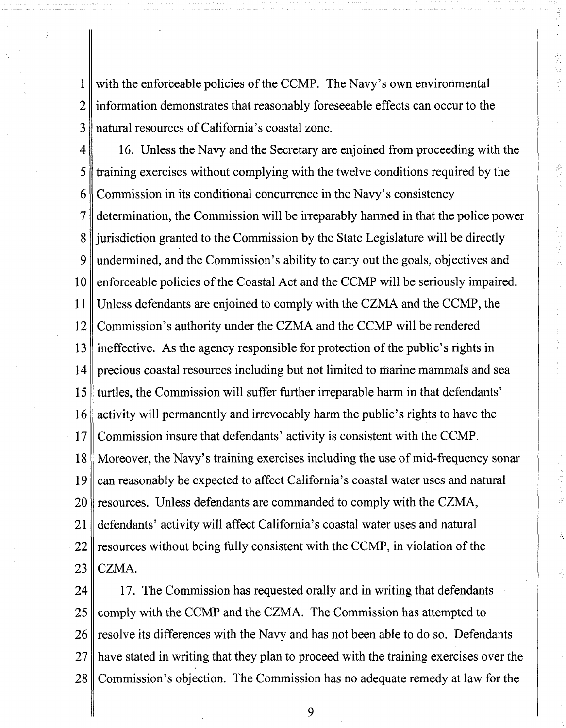with the enforceable policies of the CCMP. The Navy's own environmental  $\mathbf{1}$ information demonstrates that reasonably foreseeable effects can occur to the  $\overline{2}$ natural resources of California's coastal zone. 3

16. Unless the Navy and the Secretary are enjoined from proceeding with the  $\overline{4}$ training exercises without complying with the twelve conditions required by the 5 Commission in its conditional concurrence in the Navy's consistency 6 determination, the Commission will be irreparably harmed in that the police power  $\overline{7}$ jurisdiction granted to the Commission by the State Legislature will be directly 8 undermined, and the Commission's ability to carry out the goals, objectives and  $\mathbf Q$ enforceable policies of the Coastal Act and the CCMP will be seriously impaired. 10 11 Unless defendants are enjoined to comply with the CZMA and the CCMP, the Commission's authority under the CZMA and the CCMP will be rendered 12 ineffective. As the agency responsible for protection of the public's rights in 13 precious coastal resources including but not limited to marine mammals and sea 14 turtles, the Commission will suffer further irreparable harm in that defendants' 15 16 activity will permanently and irrevocably harm the public's rights to have the Commission insure that defendants' activity is consistent with the CCMP. 17 Moreover, the Navy's training exercises including the use of mid-frequency sonar 18 19 can reasonably be expected to affect California's coastal water uses and natural resources. Unless defendants are commanded to comply with the CZMA, **20** 21 defendants' activity will affect California's coastal water uses and natural resources without being fully consistent with the CCMP, in violation of the 22 CZMA. 23

17. The Commission has requested orally and in writing that defendants 24 comply with the CCMP and the CZMA. The Commission has attempted to 25 26 resolve its differences with the Navy and has not been able to do so. Defendants 27 have stated in writing that they plan to proceed with the training exercises over the Commission's objection. The Commission has no adequate remedy at law for the 28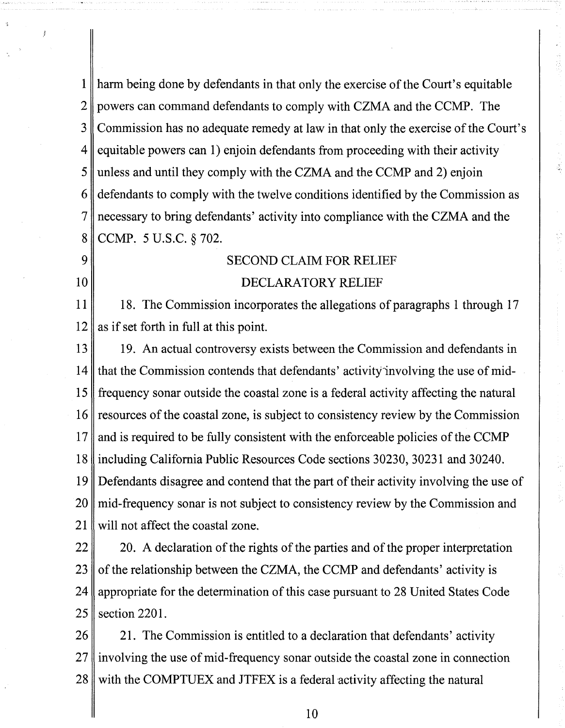$\mathbf{1}$ harm being done by defendants in that only the exercise of the Court's equitable powers can command defendants to comply with CZMA and the CCMP. The 2 Commission has no adequate remedy at law in that only the exercise of the Court's 3 equitable powers can 1) enjoin defendants from proceeding with their activity 4 unless and until they comply with the CZMA and the CCMP and 2) enjoin 5 defendants to comply with the twelve conditions identified by the Commission as 6 necessary to bring defendants' activity into compliance with the CZMA and the 7 CCMP. 5 U.S.C. **8** 702. 8

#### SECOND CLAIM FOR RELIEF

### DECLARATORY RELIEF

11 18. The Commission incorporates the allegations of paragraphs 1 through 17 as if set forth in full at this point. 12

 $\overline{Q}$ 

10

13 19. An actual controversy exists between the Commission and defendants in 14 that the Commission contends that defendants' activity'involving the use of mid-15 frequency sonar outside the coastal zone is a federal activity affecting the natural 16 resources of the coastal zone, is subject to consistency review by the Commission and is required to be fully consistent with the enforceable policies of the CCMP 17 18 including California Public Resources Code sections 30230, 30231 and 30240. 19 Defendants disagree and contend that the part of their activity involving the use of mid-frequency sonar is not subject to consistency review by the Commission and 20 21 will not affect the coastal zone.

22 20. A declaration of the rights of the parties and of the proper interpretation 23 of the relationship between the CZMA, the CCMP and defendants' activity is appropriate for the determination of this case pursuant to 28 United States Code 24 25 section 2201.

26 21. The Commission is entitled to a declaration that defendants' activity involving the use of mid-frequency sonar outside the coastal zone in connection 27 28 with the COMPTUEX and JTFEX is a federal activity affecting the natural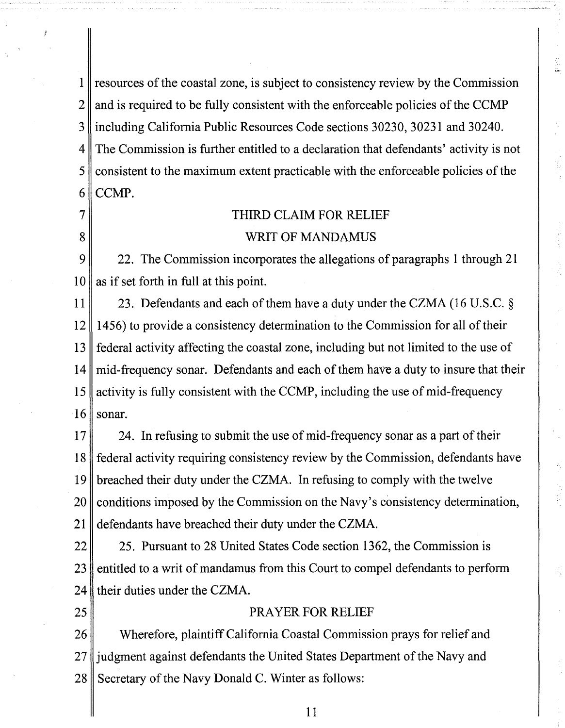resources of the coastal zone, is subject to consistency review by the Commission 1  $\overline{2}$ and is required to be fully consistent with the enforceable policies of the CCMP including California Public Resources Code sections 30230, 3023 1 and 30240. 3 The Commission is further entitled to a declaration that defendants' activity is not  $\overline{4}$ consistent to the maximum extent practicable with the enforceable policies of the 5 CCMP. 6

# THIRD CLAIM FOR RELIEF WRIT OF MANDAMUS

9 22. The Commission incorporates the allegations of paragraphs 1 through 21 as if set forth in full at this point. 10

7

8

25

11 23. Defendants and each of them have a duty under the CZMA (16 U.S.C. *5*  12 1456) to provide a consistency determination to the Commission for all of their federal activity affecting the coastal zone, including but not limited to the use of 13 mid-frequency sonar. Defendants and each of them have a duty to insure that their 14 activity is fully consistent with the CCMP, including the use of mid-frequency 15 16 sonar.

17 24. In refusing to submit the use of mid-frequency sonar as a part of their federal activity requiring consistency review by the Commission, defendants have 18 19 breached their duty under the CZMA. In refusing to comply with the twelve 20 conditions imposed by the Commission on the Navy's consistency determination, defendants have breached their duty under the CZMA. 21

25. Pursuant to 28 United States Code section 1362, the Commission is 22 entitled to a writ of mandamus from this Court to compel defendants to perform 23 their duties under the CZMA. 24

### PRAYER FOR RELIEF

Wherefore, plaintiff California Coastal Commission prays for relief and 26 27 judgment against defendants the United States Department of the Navy and Secretary of the Navy Donald C. Winter as follows: 28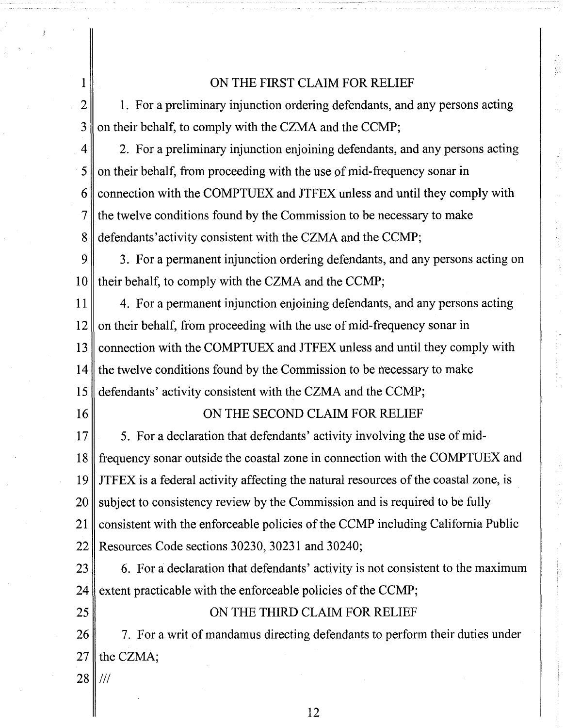## ON THE FIRST CLAIM FOR RELIEF

 $\overline{2}$ 1. For a preliminary injunction ordering defendants, and any persons acting on their behalf, to comply with the CZMA and the CCMP; 3

2. For a preliminary injunction enjoining defendants, and any persons acting  $\overline{4}$ 5 on their behalf, from proceeding with the use of mid-frequency sonar in 2onnection with the COMPTUEX and JTFEX unless and until they comply with 6 the twelve conditions found by the Commission to be necessary to make 7 defendants' activity consistent with the CZMA and the CCMP; 8

9 3. For a permanent injunction ordering defendants, and any persons acting on their behalf, to comply with the CZMA and the CCMP;  $10$ 

4. For a permanent injunction enjoining defendants, and any persons acting 11 12 on their behalf, from proceeding with the use of mid-frequency sonar in connection with the COMPTUEX and JTFEX unless and until they comply with  $13$ 14 the twelve conditions found by the Commission to be necessary to make defendants' activity consistent with the CZMA and the CCMP; 15

16

1

## ON THE SECOND CLAIM FOR RELIEF

 $17$ 5. For a declaration that defendants' activity involving the use of midfrequency sonar outside the coastal zone in connection with the COMPTUEX and 18 19 JTFEX is a federal activity affecting the natural resources of the coastal zone, is 20 subject to consistency review by the Commission and is required to be fully consistent with the enforceable policies of the CCMP including California Public 21 Resources Code sections 30230, 30231 and 30240; 22

6. For a declaration that defendants' activity is not consistent to the maximum 23 extent practicable with the enforceable policies of the CCMP; 24

25

## ON THE THIRD CLAIM FOR RELIEF

7. For a writ of mandamus directing defendants to perform their duties under 26 27 the CZMA;

28 /I/